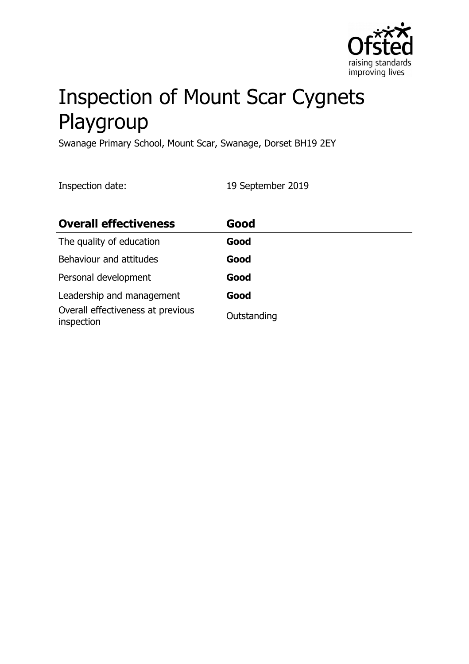

# Inspection of Mount Scar Cygnets Playgroup

Swanage Primary School, Mount Scar, Swanage, Dorset BH19 2EY

Inspection date: 19 September 2019

| <b>Overall effectiveness</b>                    | Good        |
|-------------------------------------------------|-------------|
| The quality of education                        | Good        |
| Behaviour and attitudes                         | Good        |
| Personal development                            | Good        |
| Leadership and management                       | Good        |
| Overall effectiveness at previous<br>inspection | Outstanding |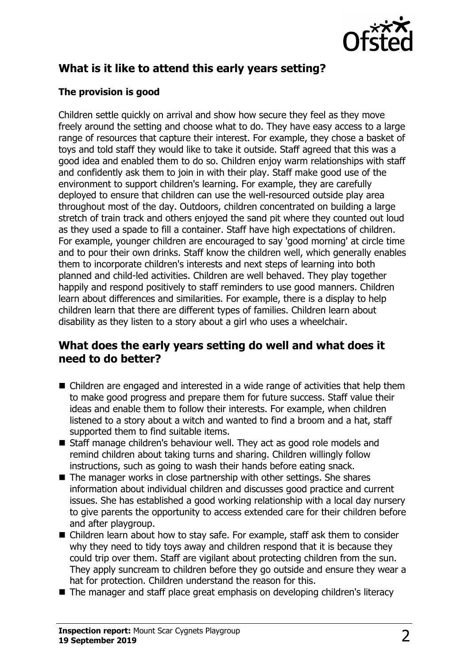

## **What is it like to attend this early years setting?**

## **The provision is good**

Children settle quickly on arrival and show how secure they feel as they move freely around the setting and choose what to do. They have easy access to a large range of resources that capture their interest. For example, they chose a basket of toys and told staff they would like to take it outside. Staff agreed that this was a good idea and enabled them to do so. Children enjoy warm relationships with staff and confidently ask them to join in with their play. Staff make good use of the environment to support children's learning. For example, they are carefully deployed to ensure that children can use the well-resourced outside play area throughout most of the day. Outdoors, children concentrated on building a large stretch of train track and others enjoyed the sand pit where they counted out loud as they used a spade to fill a container. Staff have high expectations of children. For example, younger children are encouraged to say 'good morning' at circle time and to pour their own drinks. Staff know the children well, which generally enables them to incorporate children's interests and next steps of learning into both planned and child-led activities. Children are well behaved. They play together happily and respond positively to staff reminders to use good manners. Children learn about differences and similarities. For example, there is a display to help children learn that there are different types of families. Children learn about disability as they listen to a story about a girl who uses a wheelchair.

## **What does the early years setting do well and what does it need to do better?**

- $\blacksquare$  Children are engaged and interested in a wide range of activities that help them to make good progress and prepare them for future success. Staff value their ideas and enable them to follow their interests. For example, when children listened to a story about a witch and wanted to find a broom and a hat, staff supported them to find suitable items.
- Staff manage children's behaviour well. They act as good role models and remind children about taking turns and sharing. Children willingly follow instructions, such as going to wash their hands before eating snack.
- $\blacksquare$  The manager works in close partnership with other settings. She shares information about individual children and discusses good practice and current issues. She has established a good working relationship with a local day nursery to give parents the opportunity to access extended care for their children before and after playgroup.
- $\blacksquare$  Children learn about how to stay safe. For example, staff ask them to consider why they need to tidy toys away and children respond that it is because they could trip over them. Staff are vigilant about protecting children from the sun. They apply suncream to children before they go outside and ensure they wear a hat for protection. Children understand the reason for this.
- $\blacksquare$  The manager and staff place great emphasis on developing children's literacy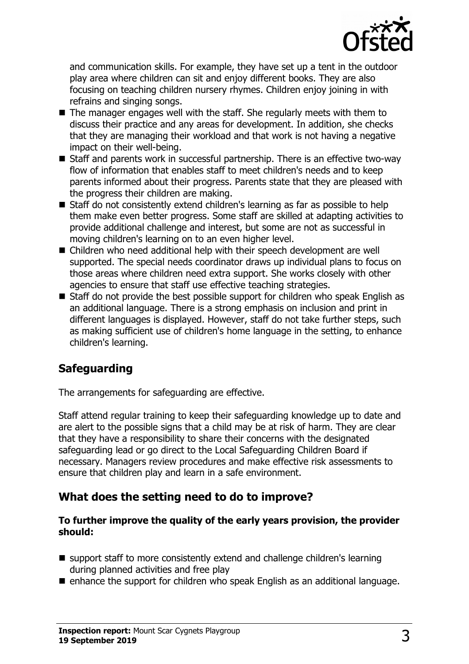

and communication skills. For example, they have set up a tent in the outdoor play area where children can sit and enjoy different books. They are also focusing on teaching children nursery rhymes. Children enjoy joining in with refrains and singing songs.

- $\blacksquare$  The manager engages well with the staff. She regularly meets with them to discuss their practice and any areas for development. In addition, she checks that they are managing their workload and that work is not having a negative impact on their well-being.
- $\blacksquare$  Staff and parents work in successful partnership. There is an effective two-way flow of information that enables staff to meet children's needs and to keep parents informed about their progress. Parents state that they are pleased with the progress their children are making.
- Staff do not consistently extend children's learning as far as possible to help them make even better progress. Some staff are skilled at adapting activities to provide additional challenge and interest, but some are not as successful in moving children's learning on to an even higher level.
- Children who need additional help with their speech development are well supported. The special needs coordinator draws up individual plans to focus on those areas where children need extra support. She works closely with other agencies to ensure that staff use effective teaching strategies.
- $\blacksquare$  Staff do not provide the best possible support for children who speak English as an additional language. There is a strong emphasis on inclusion and print in different languages is displayed. However, staff do not take further steps, such as making sufficient use of children's home language in the setting, to enhance children's learning.

## **Safeguarding**

The arrangements for safeguarding are effective.

Staff attend regular training to keep their safeguarding knowledge up to date and are alert to the possible signs that a child may be at risk of harm. They are clear that they have a responsibility to share their concerns with the designated safeguarding lead or go direct to the Local Safeguarding Children Board if necessary. Managers review procedures and make effective risk assessments to ensure that children play and learn in a safe environment.

## **What does the setting need to do to improve?**

#### **To further improve the quality of the early years provision, the provider should:**

- $\blacksquare$  support staff to more consistently extend and challenge children's learning during planned activities and free play
- $\blacksquare$  enhance the support for children who speak English as an additional language.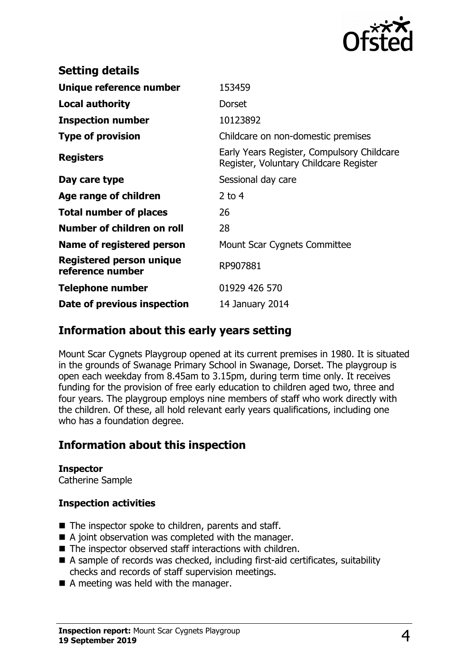

| <b>Setting details</b>                              |                                                                                      |
|-----------------------------------------------------|--------------------------------------------------------------------------------------|
| Unique reference number                             | 153459                                                                               |
| <b>Local authority</b>                              | <b>Dorset</b>                                                                        |
| <b>Inspection number</b>                            | 10123892                                                                             |
| <b>Type of provision</b>                            | Childcare on non-domestic premises                                                   |
| <b>Registers</b>                                    | Early Years Register, Compulsory Childcare<br>Register, Voluntary Childcare Register |
| Day care type                                       | Sessional day care                                                                   |
| Age range of children                               | 2 to $4$                                                                             |
| <b>Total number of places</b>                       | 26                                                                                   |
| Number of children on roll                          | 28                                                                                   |
| Name of registered person                           | Mount Scar Cygnets Committee                                                         |
| <b>Registered person unique</b><br>reference number | RP907881                                                                             |
| Telephone number                                    | 01929 426 570                                                                        |
| Date of previous inspection                         | 14 January 2014                                                                      |

## **Information about this early years setting**

Mount Scar Cygnets Playgroup opened at its current premises in 1980. It is situated in the grounds of Swanage Primary School in Swanage, Dorset. The playgroup is open each weekday from 8.45am to 3.15pm, during term time only. It receives funding for the provision of free early education to children aged two, three and four years. The playgroup employs nine members of staff who work directly with the children. Of these, all hold relevant early years qualifications, including one who has a foundation degree.

## **Information about this inspection**

#### **Inspector** Catherine Sample

### **Inspection activities**

- $\blacksquare$  The inspector spoke to children, parents and staff.
- $\blacksquare$  A joint observation was completed with the manager.
- $\blacksquare$  The inspector observed staff interactions with children.
- $\blacksquare$  A sample of records was checked, including first-aid certificates, suitability checks and records of staff supervision meetings.
- $\blacksquare$  A meeting was held with the manager.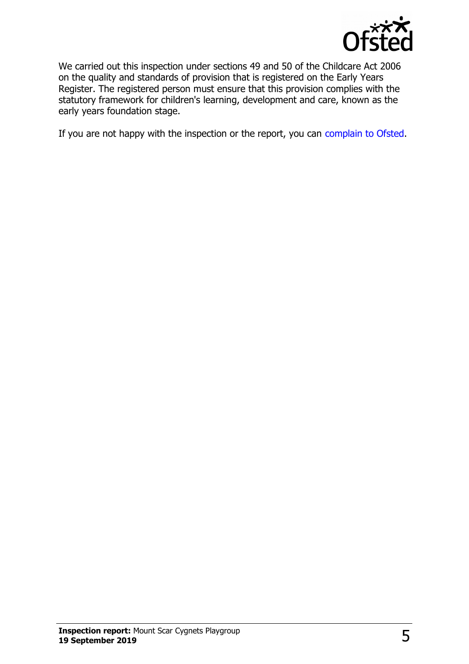

We carried out this inspection under sections 49 and 50 of the Childcare Act 2006 on the quality and standards of provision that is registered on the Early Years Register. The registered person must ensure that this provision complies with the statutory framework for children's learning, development and care, known as the early years foundation stage.

If you are not happy with the inspection or the report, you can [complain to Ofsted.](http://www.gov.uk/complain-ofsted-report)